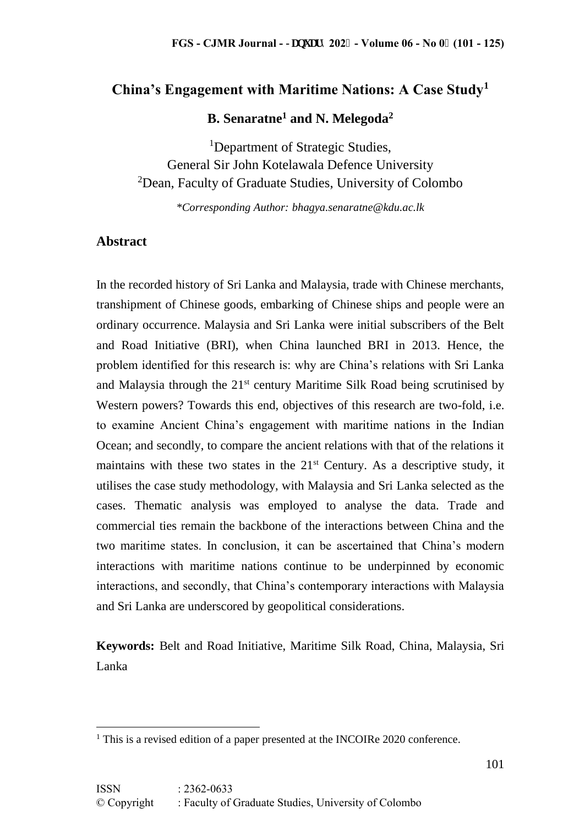# **China's Engagement with Maritime Nations: A Case Study<sup>1</sup>**

**B. Senaratne<sup>1</sup> and N. Melegoda<sup>2</sup>**

<sup>1</sup>Department of Strategic Studies. General Sir John Kotelawala Defence University <sup>2</sup>Dean, Faculty of Graduate Studies, University of Colombo

*\*Corresponding Author: bhagya.senaratne@kdu.ac.lk*

## **Abstract**

In the recorded history of Sri Lanka and Malaysia, trade with Chinese merchants, transhipment of Chinese goods, embarking of Chinese ships and people were an ordinary occurrence. Malaysia and Sri Lanka were initial subscribers of the Belt and Road Initiative (BRI), when China launched BRI in 2013. Hence, the problem identified for this research is: why are China's relations with Sri Lanka and Malaysia through the  $21<sup>st</sup>$  century Maritime Silk Road being scrutinised by Western powers? Towards this end, objectives of this research are two-fold, i.e. to examine Ancient China's engagement with maritime nations in the Indian Ocean; and secondly, to compare the ancient relations with that of the relations it maintains with these two states in the  $21<sup>st</sup>$  Century. As a descriptive study, it utilises the case study methodology, with Malaysia and Sri Lanka selected as the cases. Thematic analysis was employed to analyse the data. Trade and commercial ties remain the backbone of the interactions between China and the two maritime states. In conclusion, it can be ascertained that China's modern interactions with maritime nations continue to be underpinned by economic interactions, and secondly, that China's contemporary interactions with Malaysia and Sri Lanka are underscored by geopolitical considerations.

**Keywords:** Belt and Road Initiative, Maritime Silk Road, China, Malaysia, Sri Lanka

<sup>&</sup>lt;sup>1</sup> This is a revised edition of a paper presented at the INCOIRe 2020 conference.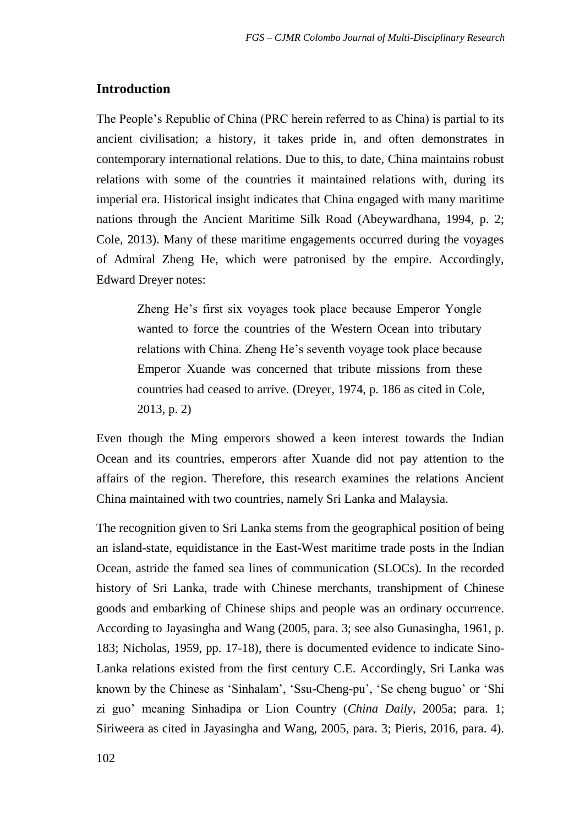## **Introduction**

The People's Republic of China (PRC herein referred to as China) is partial to its ancient civilisation; a history, it takes pride in, and often demonstrates in contemporary international relations. Due to this, to date, China maintains robust relations with some of the countries it maintained relations with, during its imperial era. Historical insight indicates that China engaged with many maritime nations through the Ancient Maritime Silk Road (Abeywardhana, 1994, p. 2; Cole, 2013). Many of these maritime engagements occurred during the voyages of Admiral Zheng He, which were patronised by the empire. Accordingly, Edward Dreyer notes:

Zheng He's first six voyages took place because Emperor Yongle wanted to force the countries of the Western Ocean into tributary relations with China. Zheng He's seventh voyage took place because Emperor Xuande was concerned that tribute missions from these countries had ceased to arrive. (Dreyer, 1974, p. 186 as cited in Cole, 2013, p. 2)

Even though the Ming emperors showed a keen interest towards the Indian Ocean and its countries, emperors after Xuande did not pay attention to the affairs of the region. Therefore, this research examines the relations Ancient China maintained with two countries, namely Sri Lanka and Malaysia.

The recognition given to Sri Lanka stems from the geographical position of being an island-state, equidistance in the East-West maritime trade posts in the Indian Ocean, astride the famed sea lines of communication (SLOCs). In the recorded history of Sri Lanka, trade with Chinese merchants, transhipment of Chinese goods and embarking of Chinese ships and people was an ordinary occurrence. According to Jayasingha and Wang (2005, para. 3; see also Gunasingha, 1961, p. 183; Nicholas, 1959, pp. 17-18), there is documented evidence to indicate Sino-Lanka relations existed from the first century C.E. Accordingly, Sri Lanka was known by the Chinese as 'Sinhalam', 'Ssu-Cheng-pu', 'Se cheng buguo' or 'Shi zi guo' meaning Sinhadipa or Lion Country (*China Daily*, 2005a; para. 1; Siriweera as cited in Jayasingha and Wang, 2005, para. 3; Pieris, 2016, para. 4).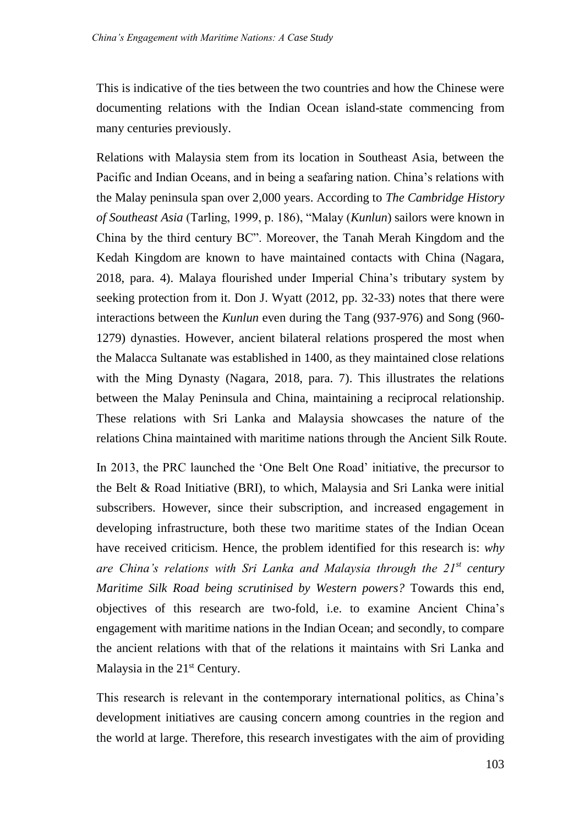This is indicative of the ties between the two countries and how the Chinese were documenting relations with the Indian Ocean island-state commencing from many centuries previously.

Relations with Malaysia stem from its location in Southeast Asia, between the Pacific and Indian Oceans, and in being a seafaring nation. China's relations with the Malay peninsula span over 2,000 years. According to *The Cambridge History of Southeast Asia* (Tarling, 1999, p. 186), "Malay (*Kunlun*) sailors were known in China by the third century BC". Moreover, the Tanah Merah Kingdom and the Kedah Kingdom are known to have maintained contacts with China (Nagara, 2018, para. 4). Malaya flourished under Imperial China's tributary system by seeking protection from it. Don J. Wyatt (2012, pp. 32-33) notes that there were interactions between the *Kunlun* even during the Tang (937-976) and Song (960- 1279) dynasties. However, ancient bilateral relations prospered the most when the Malacca Sultanate was established in 1400, as they maintained close relations with the Ming Dynasty (Nagara, 2018, para. 7). This illustrates the relations between the Malay Peninsula and China, maintaining a reciprocal relationship. These relations with Sri Lanka and Malaysia showcases the nature of the relations China maintained with maritime nations through the Ancient Silk Route.

In 2013, the PRC launched the 'One Belt One Road' initiative, the precursor to the Belt & Road Initiative (BRI), to which, Malaysia and Sri Lanka were initial subscribers. However, since their subscription, and increased engagement in developing infrastructure, both these two maritime states of the Indian Ocean have received criticism. Hence, the problem identified for this research is: *why are China's relations with Sri Lanka and Malaysia through the 21st century Maritime Silk Road being scrutinised by Western powers?* Towards this end, objectives of this research are two-fold, i.e. to examine Ancient China's engagement with maritime nations in the Indian Ocean; and secondly, to compare the ancient relations with that of the relations it maintains with Sri Lanka and Malaysia in the 21<sup>st</sup> Century.

This research is relevant in the contemporary international politics, as China's development initiatives are causing concern among countries in the region and the world at large. Therefore, this research investigates with the aim of providing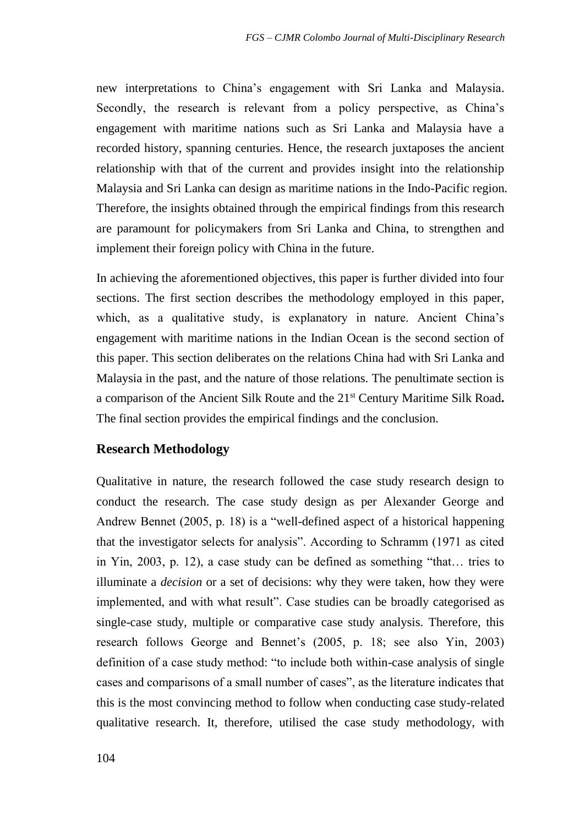new interpretations to China's engagement with Sri Lanka and Malaysia. Secondly, the research is relevant from a policy perspective, as China's engagement with maritime nations such as Sri Lanka and Malaysia have a recorded history, spanning centuries. Hence, the research juxtaposes the ancient relationship with that of the current and provides insight into the relationship Malaysia and Sri Lanka can design as maritime nations in the Indo-Pacific region. Therefore, the insights obtained through the empirical findings from this research are paramount for policymakers from Sri Lanka and China, to strengthen and implement their foreign policy with China in the future.

In achieving the aforementioned objectives, this paper is further divided into four sections. The first section describes the methodology employed in this paper, which, as a qualitative study, is explanatory in nature. Ancient China's engagement with maritime nations in the Indian Ocean is the second section of this paper. This section deliberates on the relations China had with Sri Lanka and Malaysia in the past, and the nature of those relations. The penultimate section is a comparison of the Ancient Silk Route and the 21st Century Maritime Silk Road**.**  The final section provides the empirical findings and the conclusion.

### **Research Methodology**

Qualitative in nature, the research followed the case study research design to conduct the research. The case study design as per Alexander George and Andrew Bennet (2005, p. 18) is a "well-defined aspect of a historical happening that the investigator selects for analysis". According to Schramm (1971 as cited in Yin, 2003, p. 12), a case study can be defined as something "that… tries to illuminate a *decision* or a set of decisions: why they were taken, how they were implemented, and with what result". Case studies can be broadly categorised as single-case study, multiple or comparative case study analysis. Therefore, this research follows George and Bennet's (2005, p. 18; see also Yin, 2003) definition of a case study method: "to include both within-case analysis of single cases and comparisons of a small number of cases", as the literature indicates that this is the most convincing method to follow when conducting case study-related qualitative research. It, therefore, utilised the case study methodology, with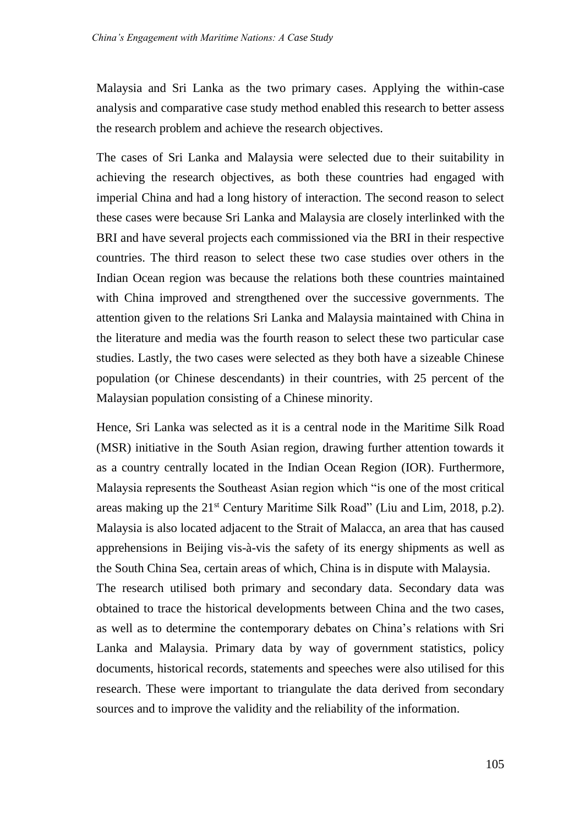Malaysia and Sri Lanka as the two primary cases. Applying the within-case analysis and comparative case study method enabled this research to better assess the research problem and achieve the research objectives.

The cases of Sri Lanka and Malaysia were selected due to their suitability in achieving the research objectives, as both these countries had engaged with imperial China and had a long history of interaction. The second reason to select these cases were because Sri Lanka and Malaysia are closely interlinked with the BRI and have several projects each commissioned via the BRI in their respective countries. The third reason to select these two case studies over others in the Indian Ocean region was because the relations both these countries maintained with China improved and strengthened over the successive governments. The attention given to the relations Sri Lanka and Malaysia maintained with China in the literature and media was the fourth reason to select these two particular case studies. Lastly, the two cases were selected as they both have a sizeable Chinese population (or Chinese descendants) in their countries, with 25 percent of the Malaysian population consisting of a Chinese minority.

Hence, Sri Lanka was selected as it is a central node in the Maritime Silk Road (MSR) initiative in the South Asian region, drawing further attention towards it as a country centrally located in the Indian Ocean Region (IOR). Furthermore, Malaysia represents the Southeast Asian region which "is one of the most critical areas making up the 21st Century Maritime Silk Road" (Liu and Lim, 2018, p.2). Malaysia is also located adjacent to the Strait of Malacca, an area that has caused apprehensions in Beijing vis-à-vis the safety of its energy shipments as well as the South China Sea, certain areas of which, China is in dispute with Malaysia. The research utilised both primary and secondary data. Secondary data was obtained to trace the historical developments between China and the two cases, as well as to determine the contemporary debates on China's relations with Sri Lanka and Malaysia. Primary data by way of government statistics, policy documents, historical records, statements and speeches were also utilised for this research. These were important to triangulate the data derived from secondary sources and to improve the validity and the reliability of the information.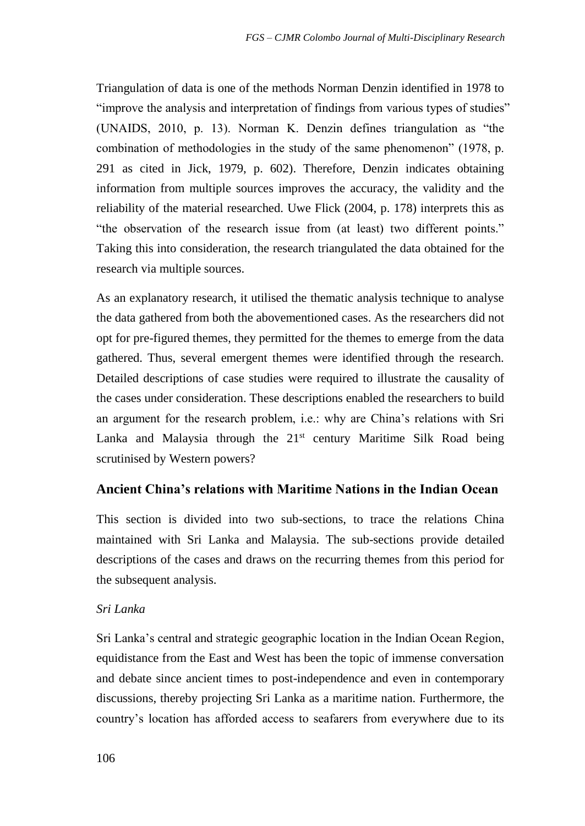Triangulation of data is one of the methods Norman Denzin identified in 1978 to "improve the analysis and interpretation of findings from various types of studies" (UNAIDS, 2010, p. 13). Norman K. Denzin defines triangulation as "the combination of methodologies in the study of the same phenomenon" (1978, p. 291 as cited in Jick, 1979, p. 602). Therefore, Denzin indicates obtaining information from multiple sources improves the accuracy, the validity and the reliability of the material researched. Uwe Flick (2004, p. 178) interprets this as "the observation of the research issue from (at least) two different points." Taking this into consideration, the research triangulated the data obtained for the research via multiple sources.

As an explanatory research, it utilised the thematic analysis technique to analyse the data gathered from both the abovementioned cases. As the researchers did not opt for pre-figured themes, they permitted for the themes to emerge from the data gathered. Thus, several emergent themes were identified through the research. Detailed descriptions of case studies were required to illustrate the causality of the cases under consideration. These descriptions enabled the researchers to build an argument for the research problem, i.e.: why are China's relations with Sri Lanka and Malaysia through the  $21^{st}$  century Maritime Silk Road being scrutinised by Western powers?

## **Ancient China's relations with Maritime Nations in the Indian Ocean**

This section is divided into two sub-sections, to trace the relations China maintained with Sri Lanka and Malaysia. The sub-sections provide detailed descriptions of the cases and draws on the recurring themes from this period for the subsequent analysis.

### *Sri Lanka*

Sri Lanka's central and strategic geographic location in the Indian Ocean Region, equidistance from the East and West has been the topic of immense conversation and debate since ancient times to post-independence and even in contemporary discussions, thereby projecting Sri Lanka as a maritime nation. Furthermore, the country's location has afforded access to seafarers from everywhere due to its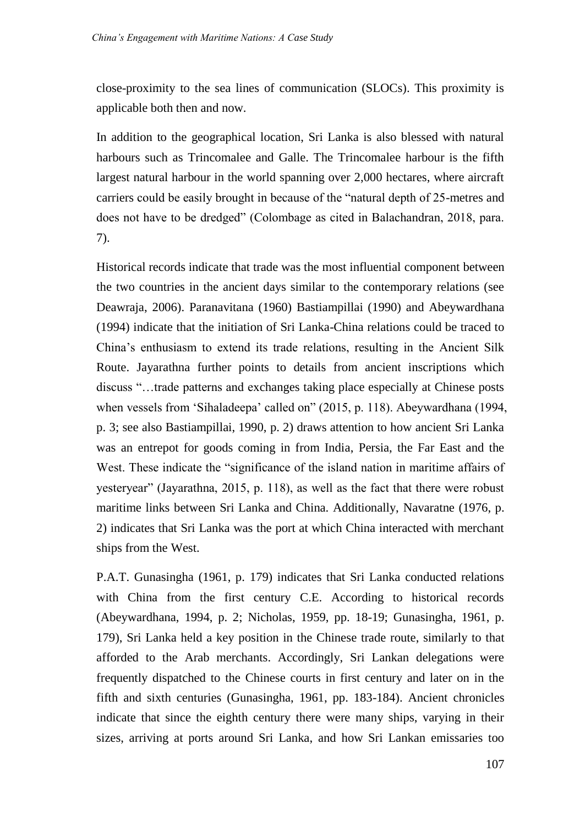close-proximity to the sea lines of communication (SLOCs). This proximity is applicable both then and now.

In addition to the geographical location, Sri Lanka is also blessed with natural harbours such as Trincomalee and Galle. The Trincomalee harbour is the fifth largest natural harbour in the world spanning over 2,000 hectares, where aircraft carriers could be easily brought in because of the "natural depth of 25-metres and does not have to be dredged" (Colombage as cited in Balachandran, 2018, para. 7).

Historical records indicate that trade was the most influential component between the two countries in the ancient days similar to the contemporary relations (see Deawraja, 2006). Paranavitana (1960) Bastiampillai (1990) and Abeywardhana (1994) indicate that the initiation of Sri Lanka-China relations could be traced to China's enthusiasm to extend its trade relations, resulting in the Ancient Silk Route. Jayarathna further points to details from ancient inscriptions which discuss "…trade patterns and exchanges taking place especially at Chinese posts when vessels from 'Sihaladeepa' called on" (2015, p. 118). Abeywardhana (1994, p. 3; see also Bastiampillai, 1990, p. 2) draws attention to how ancient Sri Lanka was an entrepot for goods coming in from India, Persia, the Far East and the West. These indicate the "significance of the island nation in maritime affairs of yesteryear" (Jayarathna, 2015, p. 118), as well as the fact that there were robust maritime links between Sri Lanka and China. Additionally, Navaratne (1976, p. 2) indicates that Sri Lanka was the port at which China interacted with merchant ships from the West.

P.A.T. Gunasingha (1961, p. 179) indicates that Sri Lanka conducted relations with China from the first century C.E. According to historical records (Abeywardhana, 1994, p. 2; Nicholas, 1959, pp. 18-19; Gunasingha, 1961, p. 179), Sri Lanka held a key position in the Chinese trade route, similarly to that afforded to the Arab merchants. Accordingly, Sri Lankan delegations were frequently dispatched to the Chinese courts in first century and later on in the fifth and sixth centuries (Gunasingha, 1961, pp. 183-184). Ancient chronicles indicate that since the eighth century there were many ships, varying in their sizes, arriving at ports around Sri Lanka, and how Sri Lankan emissaries too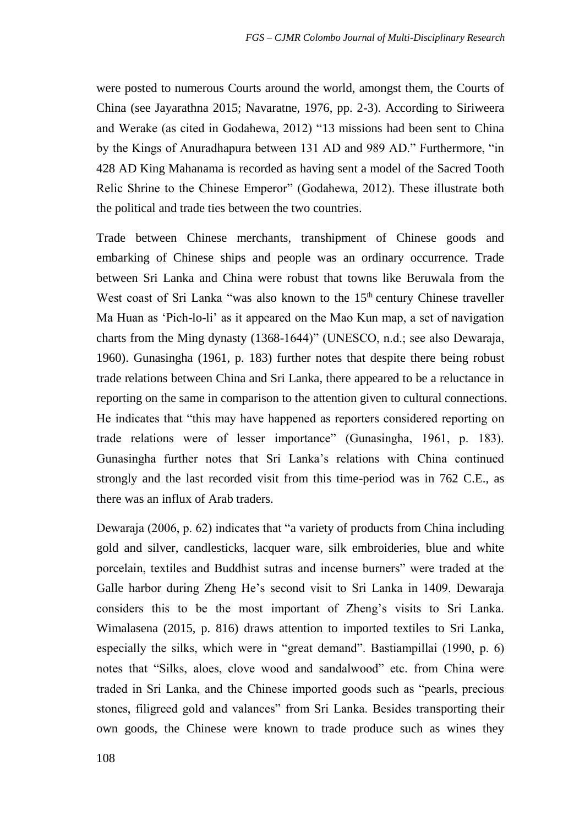were posted to numerous Courts around the world, amongst them, the Courts of China (see Jayarathna 2015; Navaratne, 1976, pp. 2-3). According to Siriweera and Werake (as cited in Godahewa, 2012) "13 missions had been sent to China by the Kings of Anuradhapura between 131 AD and 989 AD." Furthermore, "in 428 AD King Mahanama is recorded as having sent a model of the Sacred Tooth Relic Shrine to the Chinese Emperor" (Godahewa, 2012). These illustrate both the political and trade ties between the two countries.

Trade between Chinese merchants, transhipment of Chinese goods and embarking of Chinese ships and people was an ordinary occurrence. Trade between Sri Lanka and China were robust that towns like Beruwala from the West coast of Sri Lanka "was also known to the 15<sup>th</sup> century Chinese traveller Ma Huan as 'Pich-lo-li' as it appeared on the Mao Kun map, a set of navigation charts from the Ming dynasty (1368-1644)" (UNESCO, n.d.; see also Dewaraja, 1960). Gunasingha (1961, p. 183) further notes that despite there being robust trade relations between China and Sri Lanka, there appeared to be a reluctance in reporting on the same in comparison to the attention given to cultural connections. He indicates that "this may have happened as reporters considered reporting on trade relations were of lesser importance" (Gunasingha, 1961, p. 183). Gunasingha further notes that Sri Lanka's relations with China continued strongly and the last recorded visit from this time-period was in 762 C.E., as there was an influx of Arab traders.

Dewaraja (2006, p. 62) indicates that "a variety of products from China including gold and silver, candlesticks, lacquer ware, silk embroideries, blue and white porcelain, textiles and Buddhist sutras and incense burners" were traded at the Galle harbor during Zheng He's second visit to Sri Lanka in 1409. Dewaraja considers this to be the most important of Zheng's visits to Sri Lanka. Wimalasena (2015, p. 816) draws attention to imported textiles to Sri Lanka, especially the silks, which were in "great demand". Bastiampillai (1990, p. 6) notes that "Silks, aloes, clove wood and sandalwood" etc. from China were traded in Sri Lanka, and the Chinese imported goods such as "pearls, precious stones, filigreed gold and valances" from Sri Lanka. Besides transporting their own goods, the Chinese were known to trade produce such as wines they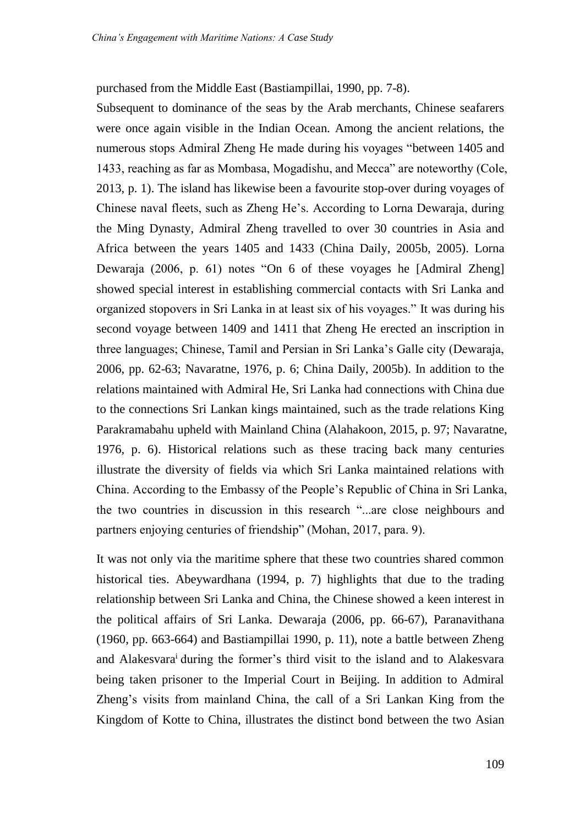purchased from the Middle East (Bastiampillai, 1990, pp. 7-8).

Subsequent to dominance of the seas by the Arab merchants, Chinese seafarers were once again visible in the Indian Ocean. Among the ancient relations, the numerous stops Admiral Zheng He made during his voyages "between 1405 and 1433, reaching as far as Mombasa, Mogadishu, and Mecca" are noteworthy (Cole, 2013, p. 1). The island has likewise been a favourite stop-over during voyages of Chinese naval fleets, such as Zheng He's. According to Lorna Dewaraja, during the Ming Dynasty, Admiral Zheng travelled to over 30 countries in Asia and Africa between the years 1405 and 1433 (China Daily, 2005b, 2005). Lorna Dewaraja (2006, p. 61) notes "On 6 of these voyages he [Admiral Zheng] showed special interest in establishing commercial contacts with Sri Lanka and organized stopovers in Sri Lanka in at least six of his voyages." It was during his second voyage between 1409 and 1411 that Zheng He erected an inscription in three languages; Chinese, Tamil and Persian in Sri Lanka's Galle city (Dewaraja, 2006, pp. 62-63; Navaratne, 1976, p. 6; China Daily, 2005b). In addition to the relations maintained with Admiral He, Sri Lanka had connections with China due to the connections Sri Lankan kings maintained, such as the trade relations King Parakramabahu upheld with Mainland China (Alahakoon, 2015, p. 97; Navaratne, 1976, p. 6). Historical relations such as these tracing back many centuries illustrate the diversity of fields via which Sri Lanka maintained relations with China. According to the Embassy of the People's Republic of China in Sri Lanka, the two countries in discussion in this research "...are close neighbours and partners enjoying centuries of friendship" (Mohan, 2017, para. 9).

It was not only via the maritime sphere that these two countries shared common historical ties. Abeywardhana (1994, p. 7) highlights that due to the trading relationship between Sri Lanka and China, the Chinese showed a keen interest in the political affairs of Sri Lanka. Dewaraja (2006, pp. 66-67), Paranavithana (1960, pp. 663-664) and Bastiampillai 1990, p. 11), note a battle between Zheng and Alakesvara<sup>i</sup> during the former's third visit to the island and to Alakesvara being taken prisoner to the Imperial Court in Beijing. In addition to Admiral Zheng's visits from mainland China, the call of a Sri Lankan King from the Kingdom of Kotte to China, illustrates the distinct bond between the two Asian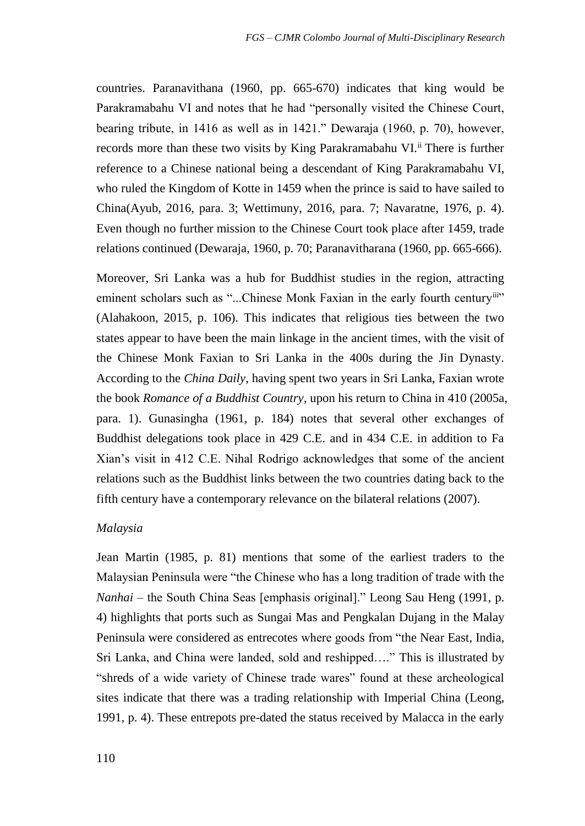countries. Paranavithana (1960, pp. 665-670) indicates that king would be Parakramabahu VI and notes that he had "personally visited the Chinese Court, bearing tribute, in 1416 as well as in 1421." Dewaraja (1960, p. 70), however, records more than these two visits by King Parakramabahu VI.<sup>ii</sup> There is further reference to a Chinese national being a descendant of King Parakramabahu VI, who ruled the Kingdom of Kotte in 1459 when the prince is said to have sailed to China(Ayub, 2016, para. 3; Wettimuny, 2016, para. 7; Navaratne, 1976, p. 4). Even though no further mission to the Chinese Court took place after 1459, trade relations continued (Dewaraja, 1960, p. 70; Paranavitharana (1960, pp. 665-666).

Moreover, Sri Lanka was a hub for Buddhist studies in the region, attracting eminent scholars such as "...Chinese Monk Faxian in the early fourth centuryiii" (Alahakoon, 2015, p. 106). This indicates that religious ties between the two states appear to have been the main linkage in the ancient times, with the visit of the Chinese Monk Faxian to Sri Lanka in the 400s during the Jin Dynasty. According to the *China Daily*, having spent two years in Sri Lanka, Faxian wrote the book *Romance of a Buddhist Country*, upon his return to China in 410 (2005a, para. 1). Gunasingha (1961, p. 184) notes that several other exchanges of Buddhist delegations took place in 429 C.E. and in 434 C.E. in addition to Fa Xian's visit in 412 C.E. Nihal Rodrigo acknowledges that some of the ancient relations such as the Buddhist links between the two countries dating back to the fifth century have a contemporary relevance on the bilateral relations (2007).

#### *Malaysia*

Jean Martin (1985, p. 81) mentions that some of the earliest traders to the Malaysian Peninsula were "the Chinese who has a long tradition of trade with the *Nanhai* – the South China Seas [emphasis original]." Leong Sau Heng (1991, p. 4) highlights that ports such as Sungai Mas and Pengkalan Dujang in the Malay Peninsula were considered as entrecotes where goods from "the Near East, India, Sri Lanka, and China were landed, sold and reshipped…." This is illustrated by "shreds of a wide variety of Chinese trade wares" found at these archeological sites indicate that there was a trading relationship with Imperial China (Leong, 1991, p. 4). These entrepots pre-dated the status received by Malacca in the early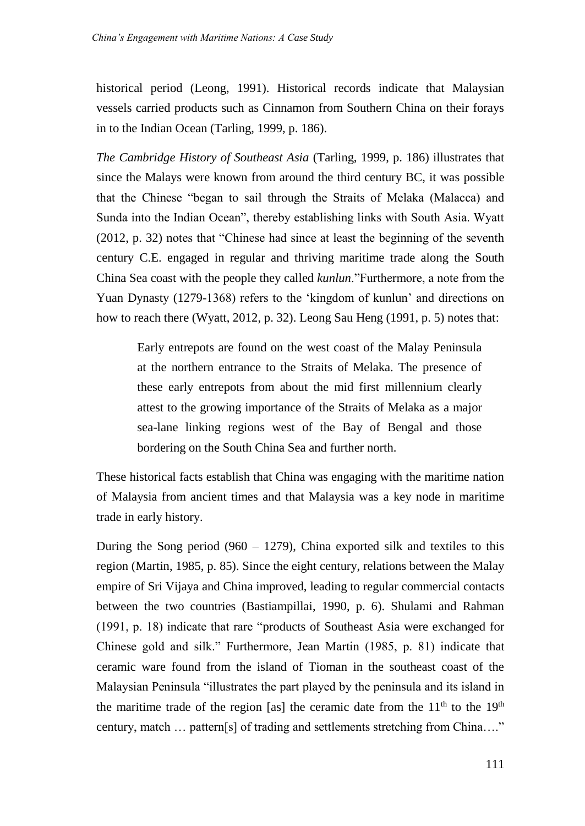historical period (Leong, 1991). Historical records indicate that Malaysian vessels carried products such as Cinnamon from Southern China on their forays in to the Indian Ocean (Tarling, 1999, p. 186).

*The Cambridge History of Southeast Asia* (Tarling, 1999, p. 186) illustrates that since the Malays were known from around the third century BC, it was possible that the Chinese "began to sail through the Straits of Melaka (Malacca) and Sunda into the Indian Ocean", thereby establishing links with South Asia. Wyatt (2012, p. 32) notes that "Chinese had since at least the beginning of the seventh century C.E. engaged in regular and thriving maritime trade along the South China Sea coast with the people they called *kunlun*."Furthermore, a note from the Yuan Dynasty (1279-1368) refers to the 'kingdom of kunlun' and directions on how to reach there (Wyatt, 2012, p. 32). Leong Sau Heng (1991, p. 5) notes that:

Early entrepots are found on the west coast of the Malay Peninsula at the northern entrance to the Straits of Melaka. The presence of these early entrepots from about the mid first millennium clearly attest to the growing importance of the Straits of Melaka as a major sea-lane linking regions west of the Bay of Bengal and those bordering on the South China Sea and further north.

These historical facts establish that China was engaging with the maritime nation of Malaysia from ancient times and that Malaysia was a key node in maritime trade in early history.

During the Song period (960 – 1279), China exported silk and textiles to this region (Martin, 1985, p. 85). Since the eight century, relations between the Malay empire of Sri Vijaya and China improved, leading to regular commercial contacts between the two countries (Bastiampillai, 1990, p. 6). Shulami and Rahman (1991, p. 18) indicate that rare "products of Southeast Asia were exchanged for Chinese gold and silk." Furthermore, Jean Martin (1985, p. 81) indicate that ceramic ware found from the island of Tioman in the southeast coast of the Malaysian Peninsula "illustrates the part played by the peninsula and its island in the maritime trade of the region [as] the ceramic date from the  $11<sup>th</sup>$  to the  $19<sup>th</sup>$ century, match … pattern[s] of trading and settlements stretching from China…."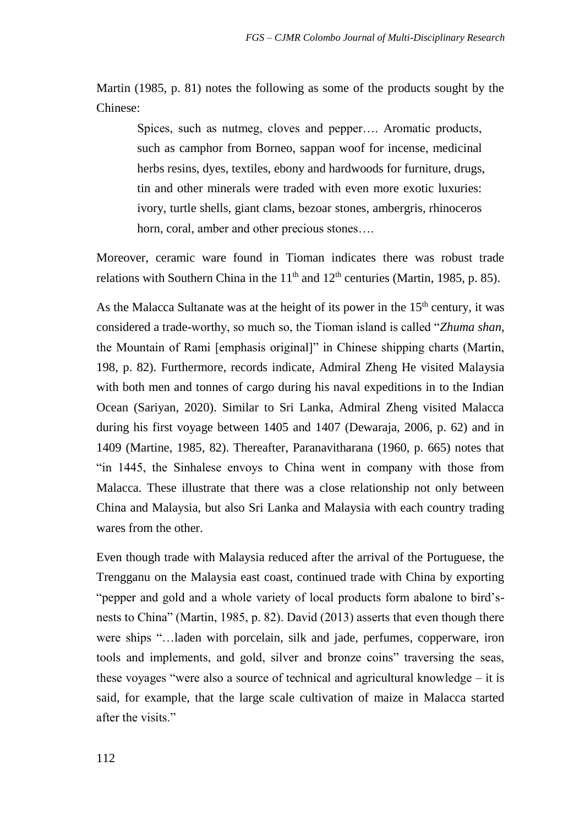Martin (1985, p. 81) notes the following as some of the products sought by the Chinese:

Spices, such as nutmeg, cloves and pepper…. Aromatic products, such as camphor from Borneo, sappan woof for incense, medicinal herbs resins, dyes, textiles, ebony and hardwoods for furniture, drugs, tin and other minerals were traded with even more exotic luxuries: ivory, turtle shells, giant clams, bezoar stones, ambergris, rhinoceros horn, coral, amber and other precious stones….

Moreover, ceramic ware found in Tioman indicates there was robust trade relations with Southern China in the  $11<sup>th</sup>$  and  $12<sup>th</sup>$  centuries (Martin, 1985, p. 85).

As the Malacca Sultanate was at the height of its power in the  $15<sup>th</sup>$  century, it was considered a trade-worthy, so much so, the Tioman island is called "*Zhuma shan,* the Mountain of Rami [emphasis original]" in Chinese shipping charts (Martin, 198, p. 82). Furthermore, records indicate, Admiral Zheng He visited Malaysia with both men and tonnes of cargo during his naval expeditions in to the Indian Ocean (Sariyan, 2020). Similar to Sri Lanka, Admiral Zheng visited Malacca during his first voyage between 1405 and 1407 (Dewaraja, 2006, p. 62) and in 1409 (Martine, 1985, 82). Thereafter, Paranavitharana (1960, p. 665) notes that "in 1445, the Sinhalese envoys to China went in company with those from Malacca. These illustrate that there was a close relationship not only between China and Malaysia, but also Sri Lanka and Malaysia with each country trading wares from the other.

Even though trade with Malaysia reduced after the arrival of the Portuguese, the Trengganu on the Malaysia east coast, continued trade with China by exporting "pepper and gold and a whole variety of local products form abalone to bird'snests to China" (Martin, 1985, p. 82). David (2013) asserts that even though there were ships "…laden with porcelain, silk and jade, perfumes, copperware, iron tools and implements, and gold, silver and bronze coins" traversing the seas, these voyages "were also a source of technical and agricultural knowledge – it is said, for example, that the large scale cultivation of maize in Malacca started after the visits."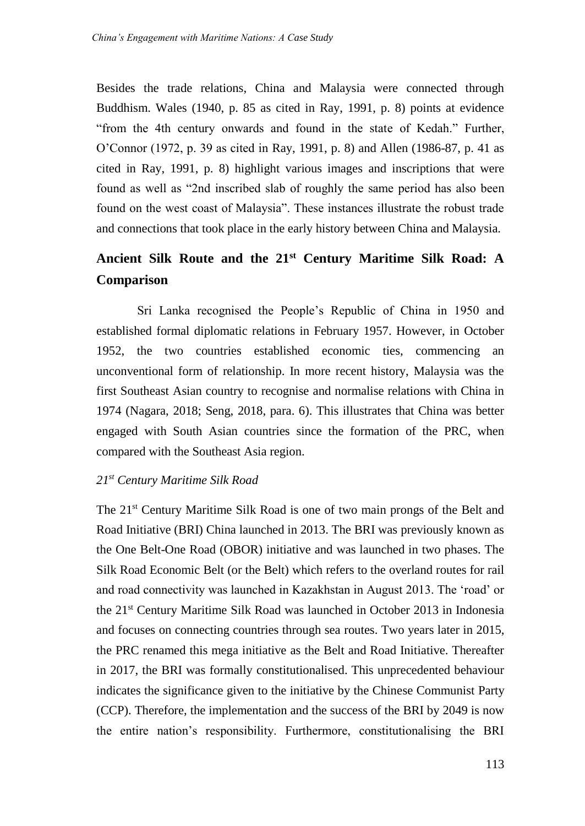Besides the trade relations, China and Malaysia were connected through Buddhism. Wales (1940, p. 85 as cited in Ray, 1991, p. 8) points at evidence "from the 4th century onwards and found in the state of Kedah." Further, O'Connor (1972, p. 39 as cited in Ray, 1991, p. 8) and Allen (1986-87, p. 41 as cited in Ray, 1991, p. 8) highlight various images and inscriptions that were found as well as "2nd inscribed slab of roughly the same period has also been found on the west coast of Malaysia". These instances illustrate the robust trade and connections that took place in the early history between China and Malaysia.

# **Ancient Silk Route and the 21st Century Maritime Silk Road: A Comparison**

Sri Lanka recognised the People's Republic of China in 1950 and established formal diplomatic relations in February 1957. However, in October 1952, the two countries established economic ties, commencing an unconventional form of relationship. In more recent history, Malaysia was the first Southeast Asian country to recognise and normalise relations with China in 1974 (Nagara, 2018; Seng, 2018, para. 6). This illustrates that China was better engaged with South Asian countries since the formation of the PRC, when compared with the Southeast Asia region.

### *21st Century Maritime Silk Road*

The 21st Century Maritime Silk Road is one of two main prongs of the Belt and Road Initiative (BRI) China launched in 2013. The BRI was previously known as the One Belt-One Road (OBOR) initiative and was launched in two phases. The Silk Road Economic Belt (or the Belt) which refers to the overland routes for rail and road connectivity was launched in Kazakhstan in August 2013. The 'road' or the 21st Century Maritime Silk Road was launched in October 2013 in Indonesia and focuses on connecting countries through sea routes. Two years later in 2015, the PRC renamed this mega initiative as the Belt and Road Initiative. Thereafter in 2017, the BRI was formally constitutionalised. This unprecedented behaviour indicates the significance given to the initiative by the Chinese Communist Party (CCP). Therefore, the implementation and the success of the BRI by 2049 is now the entire nation's responsibility. Furthermore, constitutionalising the BRI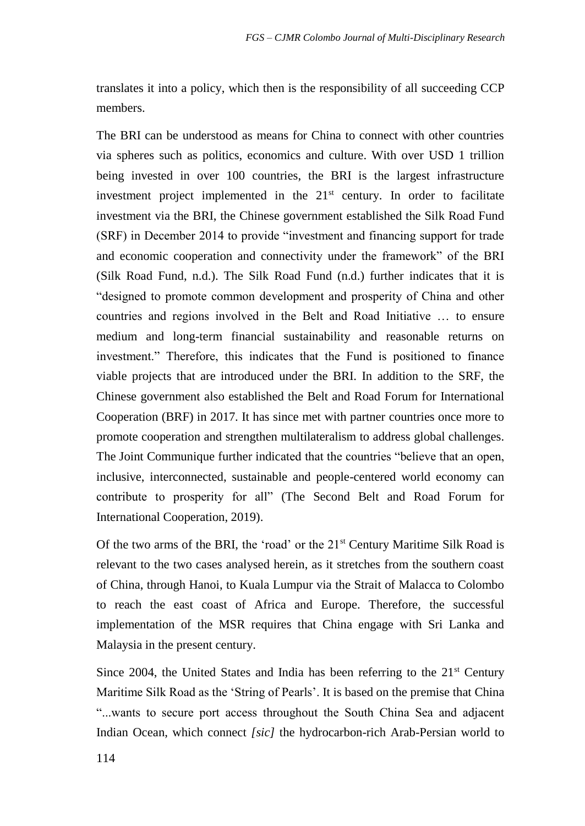translates it into a policy, which then is the responsibility of all succeeding CCP members.

The BRI can be understood as means for China to connect with other countries via spheres such as politics, economics and culture. With over USD 1 trillion being invested in over 100 countries, the BRI is the largest infrastructure investment project implemented in the  $21<sup>st</sup>$  century. In order to facilitate investment via the BRI, the Chinese government established the Silk Road Fund (SRF) in December 2014 to provide "investment and financing support for trade and economic cooperation and connectivity under the framework" of the BRI (Silk Road Fund, n.d.). The Silk Road Fund (n.d.) further indicates that it is "designed to promote common development and prosperity of China and other countries and regions involved in the Belt and Road Initiative … to ensure medium and long-term financial sustainability and reasonable returns on investment." Therefore, this indicates that the Fund is positioned to finance viable projects that are introduced under the BRI. In addition to the SRF, the Chinese government also established the Belt and Road Forum for International Cooperation (BRF) in 2017. It has since met with partner countries once more to promote cooperation and strengthen multilateralism to address global challenges. The Joint Communique further indicated that the countries "believe that an open, inclusive, interconnected, sustainable and people-centered world economy can contribute to prosperity for all" (The Second Belt and Road Forum for International Cooperation, 2019).

Of the two arms of the BRI, the 'road' or the  $21<sup>st</sup>$  Century Maritime Silk Road is relevant to the two cases analysed herein, as it stretches from the southern coast of China, through Hanoi, to Kuala Lumpur via the Strait of Malacca to Colombo to reach the east coast of Africa and Europe. Therefore, the successful implementation of the MSR requires that China engage with Sri Lanka and Malaysia in the present century.

Since 2004, the United States and India has been referring to the  $21<sup>st</sup>$  Century Maritime Silk Road as the 'String of Pearls'. It is based on the premise that China "...wants to secure port access throughout the South China Sea and adjacent Indian Ocean, which connect *[sic]* the hydrocarbon-rich Arab-Persian world to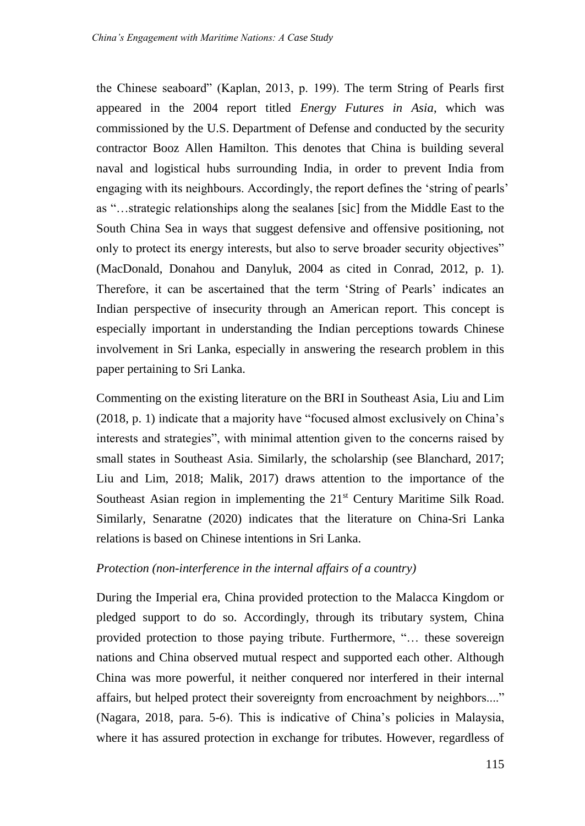the Chinese seaboard" (Kaplan, 2013, p. 199). The term String of Pearls first appeared in the 2004 report titled *Energy Futures in Asia*, which was commissioned by the U.S. Department of Defense and conducted by the security contractor Booz Allen Hamilton. This denotes that China is building several naval and logistical hubs surrounding India, in order to prevent India from engaging with its neighbours. Accordingly, the report defines the 'string of pearls' as "…strategic relationships along the sealanes [sic] from the Middle East to the South China Sea in ways that suggest defensive and offensive positioning, not only to protect its energy interests, but also to serve broader security objectives" (MacDonald, Donahou and Danyluk, 2004 as cited in Conrad, 2012, p. 1). Therefore, it can be ascertained that the term 'String of Pearls' indicates an Indian perspective of insecurity through an American report. This concept is especially important in understanding the Indian perceptions towards Chinese involvement in Sri Lanka, especially in answering the research problem in this paper pertaining to Sri Lanka.

Commenting on the existing literature on the BRI in Southeast Asia, Liu and Lim (2018, p. 1) indicate that a majority have "focused almost exclusively on China's interests and strategies", with minimal attention given to the concerns raised by small states in Southeast Asia. Similarly, the scholarship (see Blanchard, 2017; Liu and Lim, 2018; Malik, 2017) draws attention to the importance of the Southeast Asian region in implementing the 21<sup>st</sup> Century Maritime Silk Road. Similarly, Senaratne (2020) indicates that the literature on China-Sri Lanka relations is based on Chinese intentions in Sri Lanka.

## *Protection (non-interference in the internal affairs of a country)*

During the Imperial era, China provided protection to the Malacca Kingdom or pledged support to do so. Accordingly, through its tributary system, China provided protection to those paying tribute. Furthermore, "… these sovereign nations and China observed mutual respect and supported each other. Although China was more powerful, it neither conquered nor interfered in their internal affairs, but helped protect their sovereignty from encroachment by neighbors...." (Nagara, 2018, para. 5-6). This is indicative of China's policies in Malaysia, where it has assured protection in exchange for tributes. However, regardless of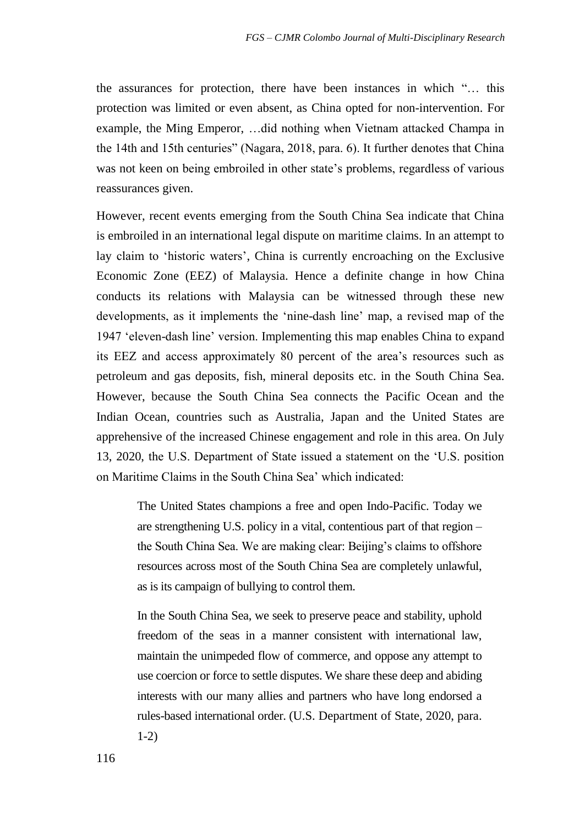the assurances for protection, there have been instances in which "… this protection was limited or even absent, as China opted for non-intervention. For example, the Ming Emperor, …did nothing when Vietnam attacked Champa in the 14th and 15th centuries" (Nagara, 2018, para. 6). It further denotes that China was not keen on being embroiled in other state's problems, regardless of various reassurances given.

However, recent events emerging from the South China Sea indicate that China is embroiled in an international legal dispute on maritime claims. In an attempt to lay claim to 'historic waters', China is currently encroaching on the Exclusive Economic Zone (EEZ) of Malaysia. Hence a definite change in how China conducts its relations with Malaysia can be witnessed through these new developments, as it implements the 'nine-dash line' map, a revised map of the 1947 'eleven-dash line' version. Implementing this map enables China to expand its EEZ and access approximately 80 percent of the area's resources such as petroleum and gas deposits, fish, mineral deposits etc. in the South China Sea. However, because the South China Sea connects the Pacific Ocean and the Indian Ocean, countries such as Australia, Japan and the United States are apprehensive of the increased Chinese engagement and role in this area. On July 13, 2020, the U.S. Department of State issued a statement on the 'U.S. position on Maritime Claims in the South China Sea' which indicated:

The United States champions a free and open Indo-Pacific. Today we are strengthening U.S. policy in a vital, contentious part of that region – the South China Sea. We are making clear: Beijing's claims to offshore resources across most of the South China Sea are completely unlawful, as is its campaign of bullying to control them.

In the South China Sea, we seek to preserve peace and stability, uphold freedom of the seas in a manner consistent with international law, maintain the unimpeded flow of commerce, and oppose any attempt to use coercion or force to settle disputes. We share these deep and abiding interests with our many allies and partners who have long endorsed a rules-based international order. (U.S. Department of State, 2020, para. 1-2)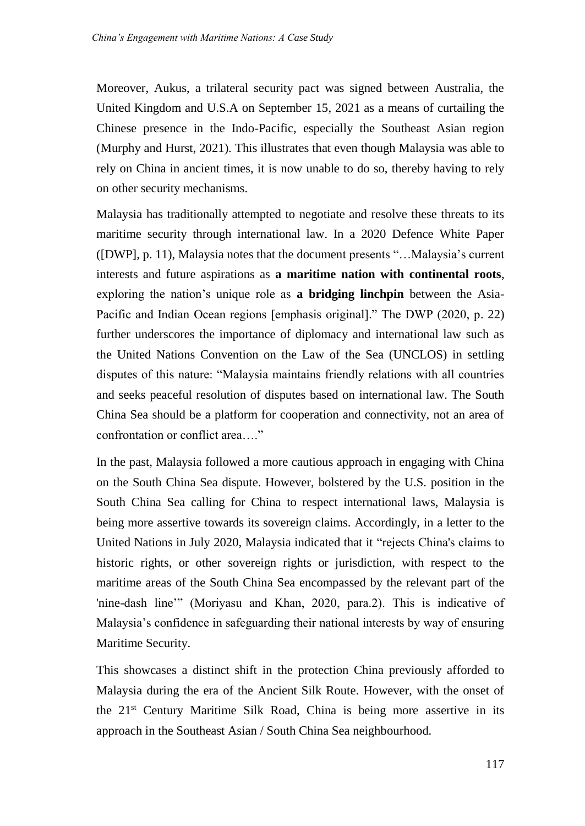Moreover, Aukus, a trilateral security pact was signed between Australia, the United Kingdom and U.S.A on September 15, 2021 as a means of curtailing the Chinese presence in the Indo-Pacific, especially the Southeast Asian region (Murphy and Hurst, 2021). This illustrates that even though Malaysia was able to rely on China in ancient times, it is now unable to do so, thereby having to rely on other security mechanisms.

Malaysia has traditionally attempted to negotiate and resolve these threats to its maritime security through international law. In a 2020 Defence White Paper ([DWP], p. 11), Malaysia notes that the document presents "…Malaysia's current interests and future aspirations as **a maritime nation with continental roots**, exploring the nation's unique role as **a bridging linchpin** between the Asia-Pacific and Indian Ocean regions [emphasis original]." The DWP (2020, p. 22) further underscores the importance of diplomacy and international law such as the United Nations Convention on the Law of the Sea (UNCLOS) in settling disputes of this nature: "Malaysia maintains friendly relations with all countries and seeks peaceful resolution of disputes based on international law. The South China Sea should be a platform for cooperation and connectivity, not an area of confrontation or conflict area…."

In the past, Malaysia followed a more cautious approach in engaging with China on the South China Sea dispute. However, bolstered by the U.S. position in the South China Sea calling for China to respect international laws, Malaysia is being more assertive towards its sovereign claims. Accordingly, in a letter to the United Nations in July 2020, Malaysia indicated that it "rejects China's claims to historic rights, or other sovereign rights or jurisdiction, with respect to the maritime areas of the South China Sea encompassed by the relevant part of the 'nine-dash line'" (Moriyasu and Khan, 2020, para.2). This is indicative of Malaysia's confidence in safeguarding their national interests by way of ensuring Maritime Security.

This showcases a distinct shift in the protection China previously afforded to Malaysia during the era of the Ancient Silk Route. However, with the onset of the 21st Century Maritime Silk Road, China is being more assertive in its approach in the Southeast Asian / South China Sea neighbourhood.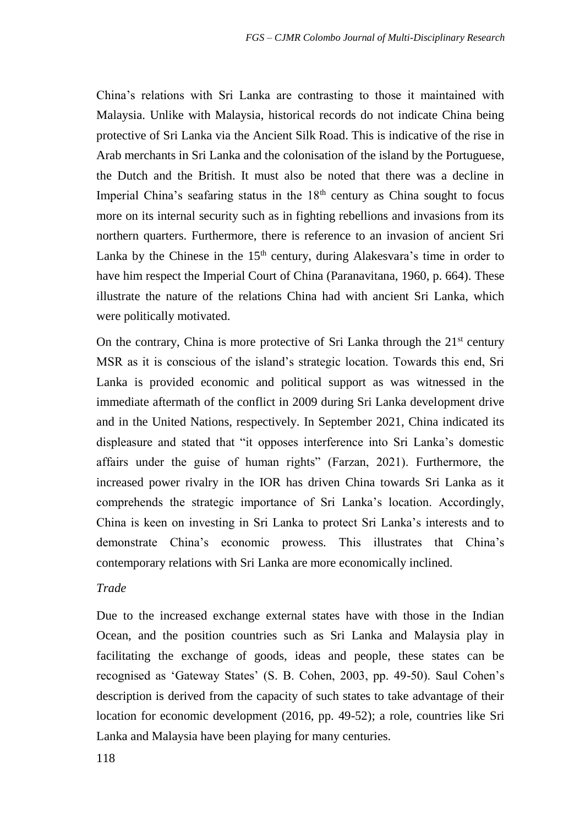China's relations with Sri Lanka are contrasting to those it maintained with Malaysia. Unlike with Malaysia, historical records do not indicate China being protective of Sri Lanka via the Ancient Silk Road. This is indicative of the rise in Arab merchants in Sri Lanka and the colonisation of the island by the Portuguese, the Dutch and the British. It must also be noted that there was a decline in Imperial China's seafaring status in the  $18<sup>th</sup>$  century as China sought to focus more on its internal security such as in fighting rebellions and invasions from its northern quarters. Furthermore, there is reference to an invasion of ancient Sri Lanka by the Chinese in the  $15<sup>th</sup>$  century, during Alakesvara's time in order to have him respect the Imperial Court of China (Paranavitana, 1960, p. 664). These illustrate the nature of the relations China had with ancient Sri Lanka, which were politically motivated.

On the contrary, China is more protective of Sri Lanka through the  $21<sup>st</sup>$  century MSR as it is conscious of the island's strategic location. Towards this end, Sri Lanka is provided economic and political support as was witnessed in the immediate aftermath of the conflict in 2009 during Sri Lanka development drive and in the United Nations, respectively. In September 2021, China indicated its displeasure and stated that "it opposes interference into Sri Lanka's domestic affairs under the guise of human rights" (Farzan, 2021). Furthermore, the increased power rivalry in the IOR has driven China towards Sri Lanka as it comprehends the strategic importance of Sri Lanka's location. Accordingly, China is keen on investing in Sri Lanka to protect Sri Lanka's interests and to demonstrate China's economic prowess. This illustrates that China's contemporary relations with Sri Lanka are more economically inclined.

#### *Trade*

Due to the increased exchange external states have with those in the Indian Ocean, and the position countries such as Sri Lanka and Malaysia play in facilitating the exchange of goods, ideas and people, these states can be recognised as 'Gateway States' (S. B. Cohen, 2003, pp. 49-50). Saul Cohen's description is derived from the capacity of such states to take advantage of their location for economic development (2016, pp. 49-52); a role, countries like Sri Lanka and Malaysia have been playing for many centuries.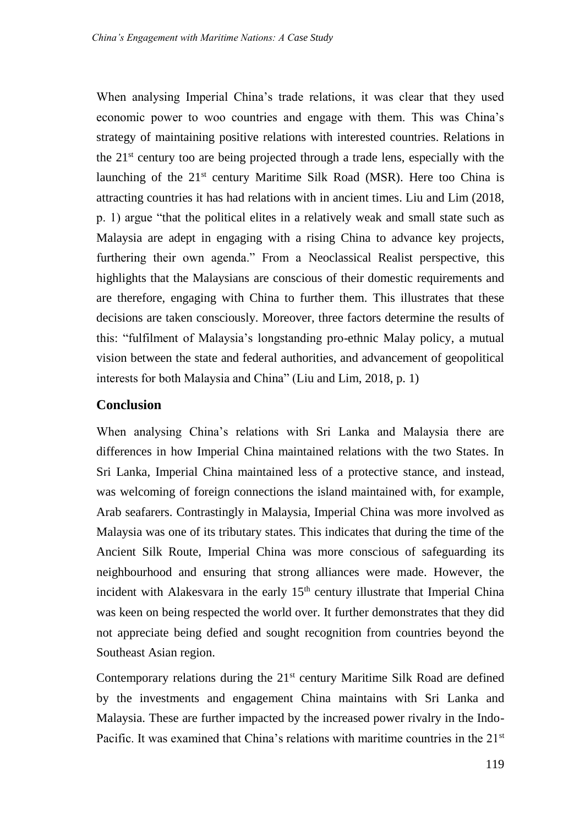When analysing Imperial China's trade relations, it was clear that they used economic power to woo countries and engage with them. This was China's strategy of maintaining positive relations with interested countries. Relations in the  $21<sup>st</sup>$  century too are being projected through a trade lens, especially with the launching of the  $21<sup>st</sup>$  century Maritime Silk Road (MSR). Here too China is attracting countries it has had relations with in ancient times. Liu and Lim (2018, p. 1) argue "that the political elites in a relatively weak and small state such as Malaysia are adept in engaging with a rising China to advance key projects, furthering their own agenda." From a Neoclassical Realist perspective, this highlights that the Malaysians are conscious of their domestic requirements and are therefore, engaging with China to further them. This illustrates that these decisions are taken consciously. Moreover, three factors determine the results of this: "fulfilment of Malaysia's longstanding pro-ethnic Malay policy, a mutual vision between the state and federal authorities, and advancement of geopolitical interests for both Malaysia and China" (Liu and Lim, 2018, p. 1)

## **Conclusion**

When analysing China's relations with Sri Lanka and Malaysia there are differences in how Imperial China maintained relations with the two States. In Sri Lanka, Imperial China maintained less of a protective stance, and instead, was welcoming of foreign connections the island maintained with, for example, Arab seafarers. Contrastingly in Malaysia, Imperial China was more involved as Malaysia was one of its tributary states. This indicates that during the time of the Ancient Silk Route, Imperial China was more conscious of safeguarding its neighbourhood and ensuring that strong alliances were made. However, the incident with Alakesvara in the early  $15<sup>th</sup>$  century illustrate that Imperial China was keen on being respected the world over. It further demonstrates that they did not appreciate being defied and sought recognition from countries beyond the Southeast Asian region.

Contemporary relations during the 21<sup>st</sup> century Maritime Silk Road are defined by the investments and engagement China maintains with Sri Lanka and Malaysia. These are further impacted by the increased power rivalry in the Indo-Pacific. It was examined that China's relations with maritime countries in the  $21<sup>st</sup>$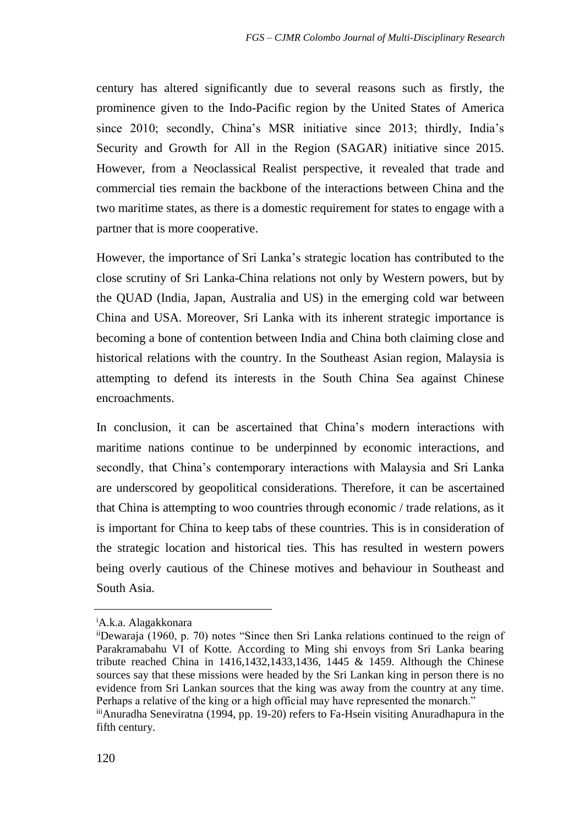century has altered significantly due to several reasons such as firstly, the prominence given to the Indo-Pacific region by the United States of America since 2010; secondly, China's MSR initiative since 2013; thirdly, India's Security and Growth for All in the Region (SAGAR) initiative since 2015. However, from a Neoclassical Realist perspective, it revealed that trade and commercial ties remain the backbone of the interactions between China and the two maritime states, as there is a domestic requirement for states to engage with a partner that is more cooperative.

However, the importance of Sri Lanka's strategic location has contributed to the close scrutiny of Sri Lanka-China relations not only by Western powers, but by the QUAD (India, Japan, Australia and US) in the emerging cold war between China and USA. Moreover, Sri Lanka with its inherent strategic importance is becoming a bone of contention between India and China both claiming close and historical relations with the country. In the Southeast Asian region, Malaysia is attempting to defend its interests in the South China Sea against Chinese encroachments.

In conclusion, it can be ascertained that China's modern interactions with maritime nations continue to be underpinned by economic interactions, and secondly, that China's contemporary interactions with Malaysia and Sri Lanka are underscored by geopolitical considerations. Therefore, it can be ascertained that China is attempting to woo countries through economic / trade relations, as it is important for China to keep tabs of these countries. This is in consideration of the strategic location and historical ties. This has resulted in western powers being overly cautious of the Chinese motives and behaviour in Southeast and South Asia.

<sup>i</sup>A.k.a. Alagakkonara

iiDewaraja (1960, p. 70) notes "Since then Sri Lanka relations continued to the reign of Parakramabahu VI of Kotte. According to Ming shi envoys from Sri Lanka bearing tribute reached China in 1416,1432,1433,1436, 1445 & 1459. Although the Chinese sources say that these missions were headed by the Sri Lankan king in person there is no evidence from Sri Lankan sources that the king was away from the country at any time. Perhaps a relative of the king or a high official may have represented the monarch."

iii Anuradha Seneviratna (1994, pp. 19-20) refers to Fa-Hsein visiting Anuradhapura in the fifth century.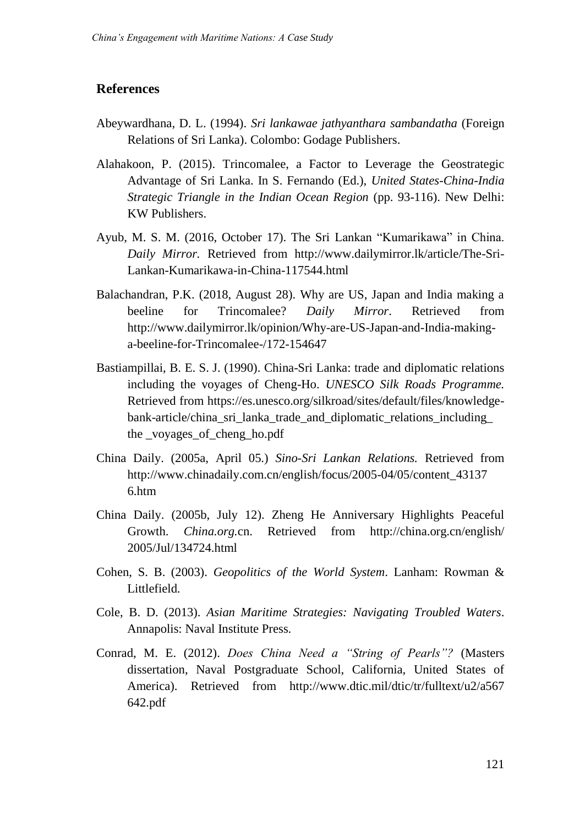## **References**

- Abeywardhana, D. L. (1994). *Sri lankawae jathyanthara sambandatha* (Foreign Relations of Sri Lanka). Colombo: Godage Publishers.
- Alahakoon, P. (2015). Trincomalee, a Factor to Leverage the Geostrategic Advantage of Sri Lanka. In S. Fernando (Ed.), *United States-China-India Strategic Triangle in the Indian Ocean Region* (pp. 93-116). New Delhi: KW Publishers.
- Ayub, M. S. M. (2016, October 17). The Sri Lankan "Kumarikawa" in China. *Daily Mirror.* Retrieved from [http://www.dailymirror.lk/article/The-Sri-](http://www.dailymirror.lk/article/The-Sri-Lankan-Kumarikawa-in-China-117544.html)[Lankan-Kumarikawa-in-China-117544.html](http://www.dailymirror.lk/article/The-Sri-Lankan-Kumarikawa-in-China-117544.html)
- Balachandran, P.K. (2018, August 28). Why are US, Japan and India making a beeline for Trincomalee? *Daily Mirror*. Retrieved from [http://www.dailymirror.lk/opinion/Why-are-US-Japan-and-India-making](http://www.dailymirror.lk/opinion/Why-are-US-Japan-and-India-making-a-beeline-for-Trincomalee-/172-154647)[a-beeline-for-Trincomalee-/172-154647](http://www.dailymirror.lk/opinion/Why-are-US-Japan-and-India-making-a-beeline-for-Trincomalee-/172-154647)
- Bastiampillai, B. E. S. J. (1990). China-Sri Lanka: trade and diplomatic relations including the voyages of Cheng-Ho. *UNESCO Silk Roads Programme.*  Retrieved from [https://es.unesco.org/silkroad/sites/default/files/knowledge](https://es.unesco.org/silkroad/sites/default/files/knowledge-bank-article/china_sri_lanka_trade_and_diplomatic_relations_including_%20the%20_voyages_of_cheng_ho.pdf)[bank-article/china\\_sri\\_lanka\\_trade\\_and\\_diplomatic\\_relations\\_including\\_](https://es.unesco.org/silkroad/sites/default/files/knowledge-bank-article/china_sri_lanka_trade_and_diplomatic_relations_including_%20the%20_voyages_of_cheng_ho.pdf)  the voyages of cheng ho.pdf
- China Daily. (2005a, April 05.) *Sino-Sri Lankan Relations.* Retrieved from [http://www.chinadaily.com.cn/english/focus/2005-04/05/content\\_43137](http://www.chinadaily.com.cn/english/focus/2005-04/05/content_43137%206.htm)  [6.htm](http://www.chinadaily.com.cn/english/focus/2005-04/05/content_43137%206.htm)
- China Daily. (2005b, July 12). Zheng He Anniversary Highlights Peaceful Growth. *China.org.*cn. Retrieved from [http://china.org.cn/english/](http://china.org.cn/english/%202005/Jul/134724.html)  [2005/Jul/134724.html](http://china.org.cn/english/%202005/Jul/134724.html)
- Cohen, S. B. (2003). *Geopolitics of the World System*. Lanham: Rowman & Littlefield.
- Cole, B. D. (2013). *Asian Maritime Strategies: Navigating Troubled Waters*. Annapolis: Naval Institute Press.
- Conrad, M. E. (2012). *Does China Need a "String of Pearls"?* (Masters dissertation, Naval Postgraduate School, California, United States of America). Retrieved from http://www.dtic.mil/dtic/tr/fulltext/u2/a567 [642.pdf](http://www.dtic.mil/dtic/tr/fulltext/u2/a567%20642.pdf)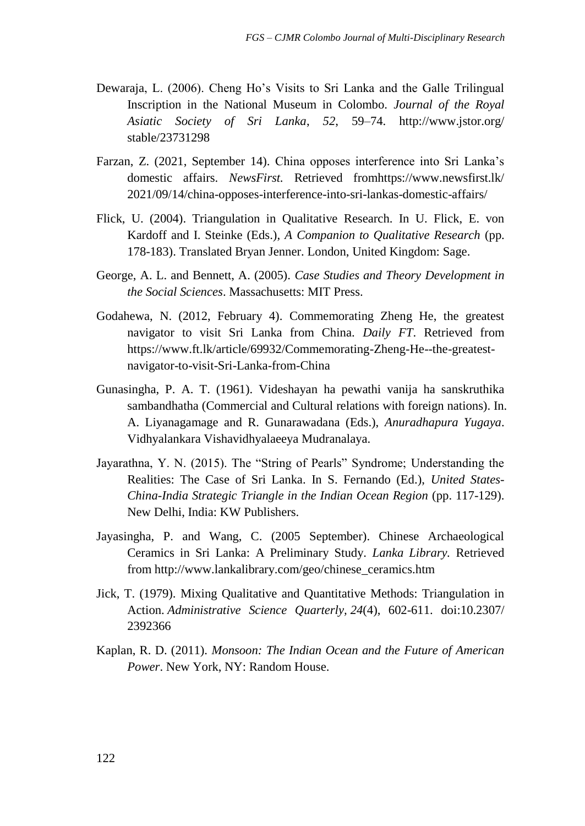- Dewaraja, L. (2006). Cheng Ho's Visits to Sri Lanka and the Galle Trilingual Inscription in the National Museum in Colombo. *Journal of the Royal Asiatic Society of Sri Lanka*, *52*, 59–74. [http://www.jstor.org/](http://www.jstor.org/%20stable/23731298)  [stable/23731298](http://www.jstor.org/%20stable/23731298)
- Farzan, Z. (2021, September 14). China opposes interference into Sri Lanka's domestic affairs. *NewsFirst.* Retrieved fro[mhttps://www.newsfirst.lk/](https://www.newsfirst.lk/%202021/09/14/china-opposes-interference-into-sri-lankas-domestic-affairs/)  [2021/09/14/china-opposes-interference-into-sri-lankas-domestic-affairs/](https://www.newsfirst.lk/%202021/09/14/china-opposes-interference-into-sri-lankas-domestic-affairs/)
- Flick, U. (2004). Triangulation in Qualitative Research. In U. Flick, E. von Kardoff and I. Steinke (Eds.), *A Companion to Qualitative Research* (pp. 178-183). Translated Bryan Jenner. London, United Kingdom: Sage.
- George, A. L. and Bennett, A. (2005). *Case Studies and Theory Development in the Social Sciences*. Massachusetts: MIT Press.
- Godahewa, N. (2012, February 4). Commemorating Zheng He, the greatest navigator to visit Sri Lanka from China. *Daily FT*. Retrieved from [https://www.ft.lk/article/69932/Commemorating-Zheng-He--the-greatest](https://www.ft.lk/article/69932/Commemorating-Zheng-He--the-greatest-navigator-to-visit-Sri-Lanka-from-China)[navigator-to-visit-Sri-Lanka-from-China](https://www.ft.lk/article/69932/Commemorating-Zheng-He--the-greatest-navigator-to-visit-Sri-Lanka-from-China)
- Gunasingha, P. A. T. (1961). Videshayan ha pewathi vanija ha sanskruthika sambandhatha (Commercial and Cultural relations with foreign nations). In. A. Liyanagamage and R. Gunarawadana (Eds.), *Anuradhapura Yugaya*. Vidhyalankara Vishavidhyalaeeya Mudranalaya.
- Jayarathna, Y. N. (2015). The "String of Pearls" Syndrome; Understanding the Realities: The Case of Sri Lanka. In S. Fernando (Ed.), *United States-China-India Strategic Triangle in the Indian Ocean Region* (pp. 117-129). New Delhi, India: KW Publishers.
- Jayasingha, P. and Wang, C. (2005 September). Chinese Archaeological Ceramics in Sri Lanka: A Preliminary Study. *Lanka Library.* Retrieved from [http://www.lankalibrary.com/geo/chinese\\_ceramics.htm](http://www.lankalibrary.com/geo/chinese_ceramics.htm)
- Jick, T. (1979). Mixing Qualitative and Quantitative Methods: Triangulation in Action. *Administrative Science Quarterly, 24*(4), 602-611. doi:10.2307/ 2392366
- Kaplan, R. D. (2011). *Monsoon: The Indian Ocean and the Future of American Power*. New York, NY: Random House.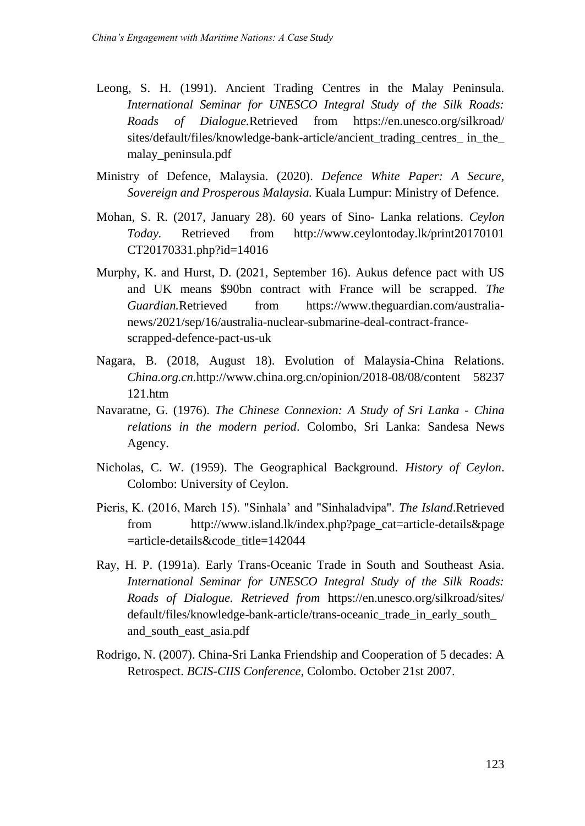- Leong, S. H. (1991). Ancient Trading Centres in the Malay Peninsula. *International Seminar for UNESCO Integral Study of the Silk Roads: Roads of Dialogue.*Retrieved from [https://en.unesco.org/silkroad/](https://en.unesco.org/silkroad/%20sites/default/files/knowledge-bank-article/ancient_trading_centres_%20in_the_%20malay_peninsula.pdf)  [sites/default/files/knowledge-bank-article/ancient\\_trading\\_centres\\_ in\\_the\\_](https://en.unesco.org/silkroad/%20sites/default/files/knowledge-bank-article/ancient_trading_centres_%20in_the_%20malay_peninsula.pdf)  [malay\\_peninsula.pdf](https://en.unesco.org/silkroad/%20sites/default/files/knowledge-bank-article/ancient_trading_centres_%20in_the_%20malay_peninsula.pdf)
- Ministry of Defence, Malaysia. (2020). *Defence White Paper: A Secure, Sovereign and Prosperous Malaysia.* Kuala Lumpur: Ministry of Defence.
- Mohan, S. R. (2017, January 28). 60 years of Sino- Lanka relations. *Ceylon Today.* Retrieved from [http://www.ceylontoday.lk/print20170101](http://www.ceylontoday.lk/print20170101%20CT20170331.php?id=14016)  [CT20170331.php?id=14016](http://www.ceylontoday.lk/print20170101%20CT20170331.php?id=14016)
- Murphy, K. and Hurst, D. (2021, September 16). Aukus defence pact with US and UK means \$90bn contract with France will be scrapped. *The Guardian.*Retrieved from [https://www.theguardian.com/australia](https://www.theguardian.com/australia-news/2021/sep/16/australia-nuclear-submarine-deal-contract-france-scrapped-defence-pact-us-uk)[news/2021/sep/16/australia-nuclear-submarine-deal-contract-france](https://www.theguardian.com/australia-news/2021/sep/16/australia-nuclear-submarine-deal-contract-france-scrapped-defence-pact-us-uk)[scrapped-defence-pact-us-uk](https://www.theguardian.com/australia-news/2021/sep/16/australia-nuclear-submarine-deal-contract-france-scrapped-defence-pact-us-uk)
- Nagara, B. (2018, August 18). Evolution of Malaysia-China Relations. *China.org.cn.*[http://www.china.org.cn/opinion/2018-08/08/content 58237](http://www.china.org.cn/opinion/2018-08/08/content%2058237%20121.htm)  [121.htm](http://www.china.org.cn/opinion/2018-08/08/content%2058237%20121.htm)
- Navaratne, G. (1976). *The Chinese Connexion: A Study of Sri Lanka - China relations in the modern period*. Colombo, Sri Lanka: Sandesa News Agency.
- Nicholas, C. W. (1959). The Geographical Background. *History of Ceylon*. Colombo: University of Ceylon.
- Pieris, K. (2016, March 15). "Sinhala' and "Sinhaladvipa". *The Island*.Retrieved from [http://www.island.lk/index.php?page\\_cat=article-details&page](http://www.island.lk/index.php?page_cat=article-details&page%20=article-details&code_title=142044)  [=article-details&code\\_title=142044](http://www.island.lk/index.php?page_cat=article-details&page%20=article-details&code_title=142044)
- Ray, H. P. (1991a). Early Trans-Oceanic Trade in South and Southeast Asia. *International Seminar for UNESCO Integral Study of the Silk Roads: Roads of Dialogue. Retrieved from* [https://en.unesco.org/silkroad/sites/](https://en.unesco.org/silkroad/sites/%20default/files/knowledge-bank-article/trans-oceanic_trade_in_early_south_%20and_south_east_asia.pdf)  [default/files/knowledge-bank-article/trans-oceanic\\_trade\\_in\\_early\\_south\\_](https://en.unesco.org/silkroad/sites/%20default/files/knowledge-bank-article/trans-oceanic_trade_in_early_south_%20and_south_east_asia.pdf)  [and\\_south\\_east\\_asia.pdf](https://en.unesco.org/silkroad/sites/%20default/files/knowledge-bank-article/trans-oceanic_trade_in_early_south_%20and_south_east_asia.pdf)
- Rodrigo, N. (2007). China-Sri Lanka Friendship and Cooperation of 5 decades: A Retrospect. *BCIS-CIIS Conference*, Colombo. October 21st 2007.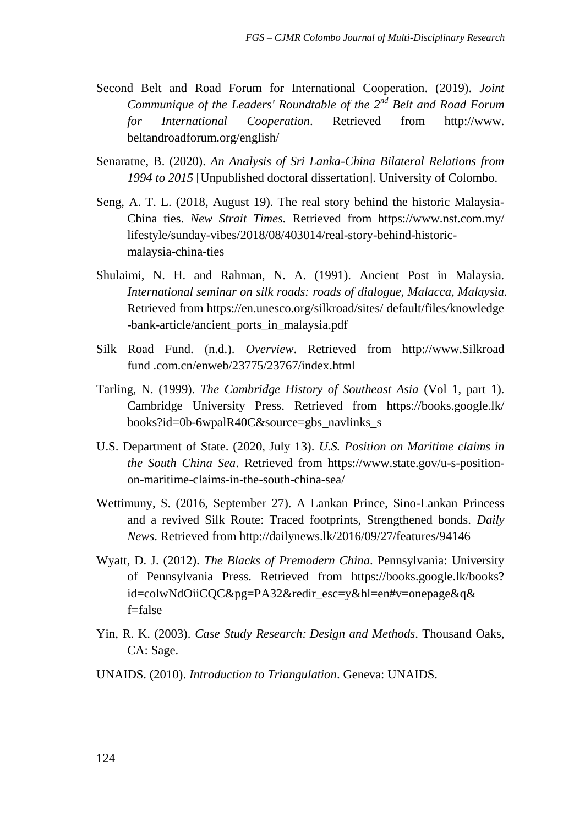- Second Belt and Road Forum for International Cooperation. (2019). *Joint Communique of the Leaders' Roundtable of the 2nd Belt and Road Forum for International Cooperation*. Retrieved from http://www. beltandroadforum.org/english/
- Senaratne, B. (2020). *An Analysis of Sri Lanka-China Bilateral Relations from 1994 to 2015* [Unpublished doctoral dissertation]. University of Colombo.
- Seng, A. T. L. (2018, August 19). The real story behind the historic Malaysia-China ties. *New Strait Times.* Retrieved from [https://www.nst.com.my/](https://www.nst.com.my/%20lifestyle/sunday-vibes/2018/08/403014/real-story-behind-historic-malaysia-china-ties)  [lifestyle/sunday-vibes/2018/08/403014/real-story-behind-historic](https://www.nst.com.my/%20lifestyle/sunday-vibes/2018/08/403014/real-story-behind-historic-malaysia-china-ties)[malaysia-china-ties](https://www.nst.com.my/%20lifestyle/sunday-vibes/2018/08/403014/real-story-behind-historic-malaysia-china-ties)
- Shulaimi, N. H. and Rahman, N. A. (1991). Ancient Post in Malaysia. *International seminar on silk roads: roads of dialogue, Malacca, Malaysia.* Retrieved from [https://en.unesco.org/silkroad/sites/ default/files/knowledge](https://en.unesco.org/silkroad/sites/%20default/files/knowledge%20-bank-article/ancient_ports_in_malaysia.pdf)  [-bank-article/ancient\\_ports\\_in\\_malaysia.pdf](https://en.unesco.org/silkroad/sites/%20default/files/knowledge%20-bank-article/ancient_ports_in_malaysia.pdf)
- Silk Road Fund. (n.d.). *Overview*. Retrieved from http://www.Silkroad fund .com.cn/enweb/23775/23767/index.html
- Tarling, N. (1999). *The Cambridge History of Southeast Asia* (Vol 1, part 1). Cambridge University Press. Retrieved from [https://books.google.lk/](https://books.google.lk/%20books?id=0b-6wpalR40C&source=gbs_navlinks_s)  [books?id=0b-6wpalR40C&source=gbs\\_navlinks\\_s](https://books.google.lk/%20books?id=0b-6wpalR40C&source=gbs_navlinks_s)
- U.S. Department of State. (2020, July 13). *U.S. Position on Maritime claims in the South China Sea*. Retrieved from [https://www.state.gov/u-s-position](https://www.state.gov/u-s-position-on-maritime-claims-in-the-south-china-sea/)[on-maritime-claims-in-the-south-china-sea/](https://www.state.gov/u-s-position-on-maritime-claims-in-the-south-china-sea/)
- Wettimuny, S. (2016, September 27). A Lankan Prince, Sino-Lankan Princess and a revived Silk Route: Traced footprints, Strengthened bonds. *Daily News*. Retrieved from<http://dailynews.lk/2016/09/27/features/94146>
- Wyatt, D. J. (2012). *The Blacks of Premodern China*. Pennsylvania: University of Pennsylvania Press. Retrieved from [https://books.google.lk/books?](https://books.google.lk/books?%20id=colwNdOiiCQC&pg=PA32&redir_esc=y&hl=en#v=onepage&q& f=false)  [id=colwNdOiiCQC&pg=PA32&redir\\_esc=y&hl=en#v=onepage&q&](https://books.google.lk/books?%20id=colwNdOiiCQC&pg=PA32&redir_esc=y&hl=en#v=onepage&q& f=false)  [f=false](https://books.google.lk/books?%20id=colwNdOiiCQC&pg=PA32&redir_esc=y&hl=en#v=onepage&q& f=false)
- Yin, R. K. (2003). *Case Study Research: Design and Methods*. Thousand Oaks, CA: Sage.
- UNAIDS. (2010). *Introduction to Triangulation*. Geneva: UNAIDS.